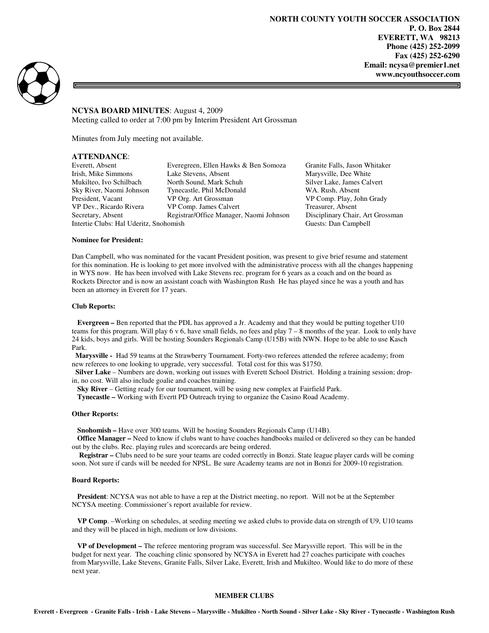**NORTH COUNTY YOUTH SOCCER ASSOCIATION P. O. Box 2844 EVERETT, WA 98213 Phone (425) 252-2099 Fax (425) 252-6290 Email: ncysa@premier1.net www.ncyouthsoccer.com** 



**NCYSA BOARD MINUTES**: August 4, 2009 Meeting called to order at 7:00 pm by Interim President Art Grossman

Minutes from July meeting not available.

# **ATTENDANCE**:

Intertie Clubs: Hal Uderitz, Snohomish Guests: Dan Campbell

Everett, Absent Everegreen, Ellen Hawks & Ben Somoza Granite Falls, Jason Whitaker Irish, Mike Simmons Lake Stevens, Absent Marysville, Dee White Mukilteo, Ivo Schilbach North Sound, Mark Schuh Silver Lake, James Calvert Sky River, Naomi Johnson Tynecastle, Phil McDonald WA. Rush, Absent President. Vacant VP Org. Art Grossman VP Comp. Play, Jo President, Vacant VP Org. Art Grossman VP Comp. Play, John Grady<br>
VP Dev., Ricardo Rivera VP Comp. James Calvert Treasurer, Absent VP Comp. James Calvert Treasurer, Absent Secretary, Absent Registrar/Office Manager, Naomi Johnson Disciplinary Chair, Art Grossman

#### **Nominee for President:**

Dan Campbell, who was nominated for the vacant President position, was present to give brief resume and statement for this nomination. He is looking to get more involved with the administrative process with all the changes happening in WYS now. He has been involved with Lake Stevens rec. program for 6 years as a coach and on the board as Rockets Director and is now an assistant coach with Washington Rush He has played since he was a youth and has been an attorney in Everett for 17 years.

### **Club Reports:**

 **Evergreen –** Ben reported that the PDL has approved a Jr. Academy and that they would be putting together U10 teams for this program. Will play  $6 \times 6$ , have small fields, no fees and play  $7 - 8$  months of the year. Look to only have 24 kids, boys and girls. Will be hosting Sounders Regionals Camp (U15B) with NWN. Hope to be able to use Kasch Park.

 **Marysville -** Had 59 teams at the Strawberry Tournament. Forty-two referees attended the referee academy; from new referees to one looking to upgrade, very successful. Total cost for this was \$1750.

 **Silver Lake** – Numbers are down, working out issues with Everett School District. Holding a training session; dropin, no cost. Will also include goalie and coaches training.

 **Sky River** – Getting ready for our tournament, will be using new complex at Fairfield Park.

 **Tynecastle –** Working with Evertt PD Outreach trying to organize the Casino Road Academy.

# **Other Reports:**

 **Snohomish –** Have over 300 teams. Will be hosting Sounders Regionals Camp (U14B).

**Office Manager –** Need to know if clubs want to have coaches handbooks mailed or delivered so they can be handed out by the clubs. Rec. playing rules and scorecards are being ordered.

 **Registrar –** Clubs need to be sure your teams are coded correctly in Bonzi. State league player cards will be coming soon. Not sure if cards will be needed for NPSL. Be sure Academy teams are not in Bonzi for 2009-10 registration.

#### **Board Reports:**

 **President**: NCYSA was not able to have a rep at the District meeting, no report. Will not be at the September NCYSA meeting. Commissioner's report available for review.

 **VP Comp**. –Working on schedules, at seeding meeting we asked clubs to provide data on strength of U9, U10 teams and they will be placed in high, medium or low divisions.

 **VP of Development –** The referee mentoring program was successful. See Marysville report. This will be in the budget for next year. The coaching clinic sponsored by NCYSA in Everett had 27 coaches participate with coaches from Marysville, Lake Stevens, Granite Falls, Silver Lake, Everett, Irish and Mukilteo. Would like to do more of these next year.

### **MEMBER CLUBS**